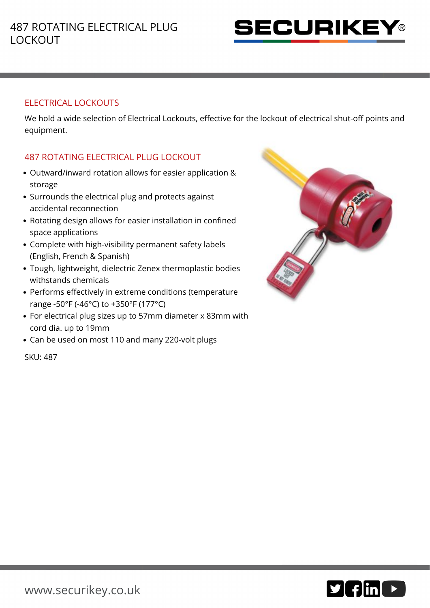

## ELECTRICAL LOCKOUTS

We hold a wide selection of Electrical Lockouts, effective for the lockout of electrical shut-off points and equipment.

## 487 ROTATING ELECTRICAL PLUG LOCKOUT

- Outward/inward rotation allows for easier application & storage
- Surrounds the electrical plug and protects against accidental reconnection
- Rotating design allows for easier installation in confined space applications
- Complete with high-visibility permanent safety labels (English, French & Spanish)
- Tough, lightweight, dielectric Zenex thermoplastic bodies withstands chemicals
- Performs effectively in extreme conditions (temperature range -50°F (-46°C) to +350°F (177°C)
- For electrical plug sizes up to 57mm diameter x 83mm with cord dia. up to 19mm
- Can be used on most 110 and many 220-volt plugs

SKU: 487



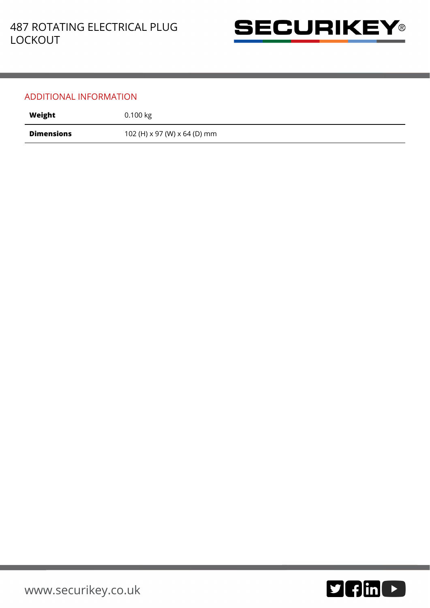

## ADDITIONAL INFORMATION

| Weight     | 0.100 kg                     |
|------------|------------------------------|
| Dimensions | 102 (H) x 97 (W) x 64 (D) mm |

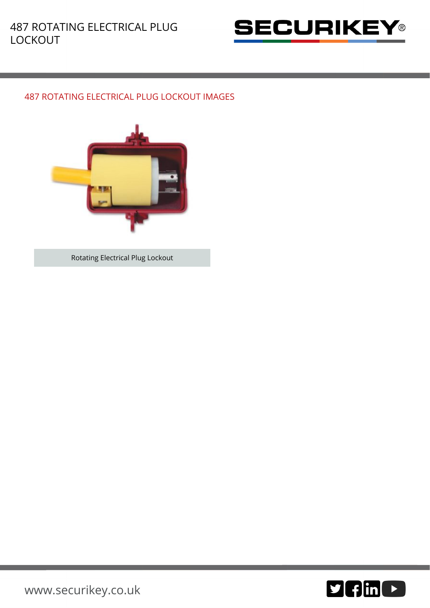

## 487 ROTATING ELECTRICAL PLUG LOCKOUT IMAGES



Rotating Electrical Plug Lockout